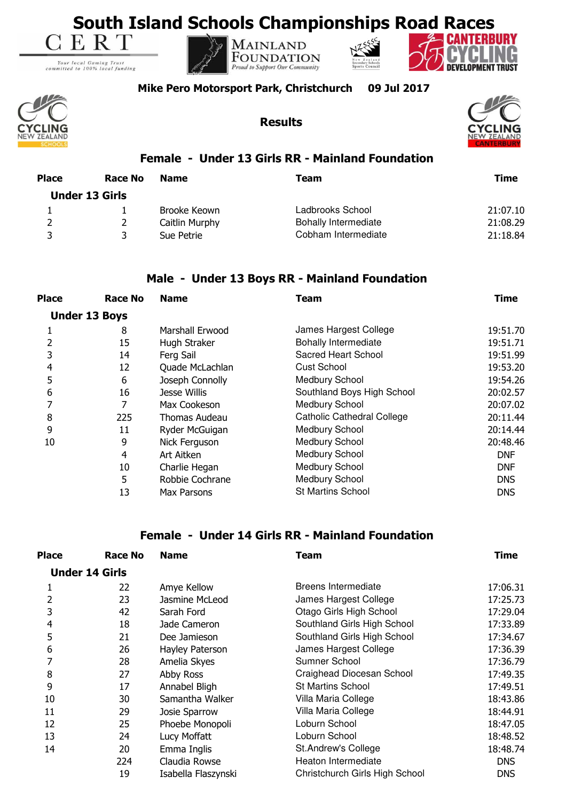# **South Island Schools Championships Road Races**<br> **E R T E MAINLAND**

Your local Gaming Trust<br>committed to 100% local funding







#### **Mike Pero Motorsport Park, Christchurch 09 Jul 2017**

**Results**



#### **Female - Under 13 Girls RR - Mainland Foundation**

| <b>Place</b>          | Race No | <b>Name</b>    | Team                        | Time     |
|-----------------------|---------|----------------|-----------------------------|----------|
| <b>Under 13 Girls</b> |         |                |                             |          |
|                       |         | Brooke Keown   | Ladbrooks School            | 21:07.10 |
|                       | 2       | Caitlin Murphy | <b>Bohally Intermediate</b> | 21:08.29 |
|                       | ς.      | Sue Petrie     | Cobham Intermediate         | 21:18.84 |

#### **Male - Under 13 Boys RR - Mainland Foundation**

| <b>Place</b>         | Race No | <b>Name</b>     | <b>Team</b>                       | <b>Time</b> |
|----------------------|---------|-----------------|-----------------------------------|-------------|
| <b>Under 13 Boys</b> |         |                 |                                   |             |
|                      | 8       | Marshall Erwood | James Hargest College             | 19:51.70    |
|                      | 15      | Hugh Straker    | <b>Bohally Intermediate</b>       | 19:51.71    |
| 3                    | 14      | Ferg Sail       | Sacred Heart School               | 19:51.99    |
| 4                    | 12      | Quade McLachlan | <b>Cust School</b>                | 19:53.20    |
| 5                    | 6       | Joseph Connolly | <b>Medbury School</b>             | 19:54.26    |
| 6                    | 16      | Jesse Willis    | Southland Boys High School        | 20:02.57    |
|                      |         | Max Cookeson    | <b>Medbury School</b>             | 20:07.02    |
| 8                    | 225     | Thomas Audeau   | <b>Catholic Cathedral College</b> | 20:11.44    |
| 9                    | 11      | Ryder McGuigan  | <b>Medbury School</b>             | 20:14.44    |
| 10                   | 9       | Nick Ferguson   | <b>Medbury School</b>             | 20:48.46    |
|                      | 4       | Art Aitken      | <b>Medbury School</b>             | <b>DNF</b>  |
|                      | 10      | Charlie Hegan   | <b>Medbury School</b>             | <b>DNF</b>  |
|                      | 5       | Robbie Cochrane | Medbury School                    | <b>DNS</b>  |
|                      | 13      | Max Parsons     | <b>St Martins School</b>          | <b>DNS</b>  |

#### **Female - Under 14 Girls RR - Mainland Foundation**

| <b>Place</b> | Race No               | <b>Name</b>         | Team                           | <b>Time</b> |
|--------------|-----------------------|---------------------|--------------------------------|-------------|
|              | <b>Under 14 Girls</b> |                     |                                |             |
|              | 22                    | Amye Kellow         | Breens Intermediate            | 17:06.31    |
| 2            | 23                    | Jasmine McLeod      | James Hargest College          | 17:25.73    |
| 3            | 42                    | Sarah Ford          | Otago Girls High School        | 17:29.04    |
| 4            | 18                    | Jade Cameron        | Southland Girls High School    | 17:33.89    |
| 5            | 21                    | Dee Jamieson        | Southland Girls High School    | 17:34.67    |
| 6            | 26                    | Hayley Paterson     | James Hargest College          | 17:36.39    |
|              | 28                    | Amelia Skyes        | Sumner School                  | 17:36.79    |
| 8            | 27                    | Abby Ross           | Craighead Diocesan School      | 17:49.35    |
| 9            | 17                    | Annabel Bligh       | <b>St Martins School</b>       | 17:49.51    |
| 10           | 30                    | Samantha Walker     | Villa Maria College            | 18:43.86    |
| 11           | 29                    | Josie Sparrow       | Villa Maria College            | 18:44.91    |
| 12           | 25                    | Phoebe Monopoli     | Loburn School                  | 18:47.05    |
| 13           | 24                    | Lucy Moffatt        | Loburn School                  | 18:48.52    |
| 14           | 20                    | Emma Inglis         | St.Andrew's College            | 18:48.74    |
|              | 224                   | Claudia Rowse       | Heaton Intermediate            | <b>DNS</b>  |
|              | 19                    | Isabella Flaszynski | Christchurch Girls High School | <b>DNS</b>  |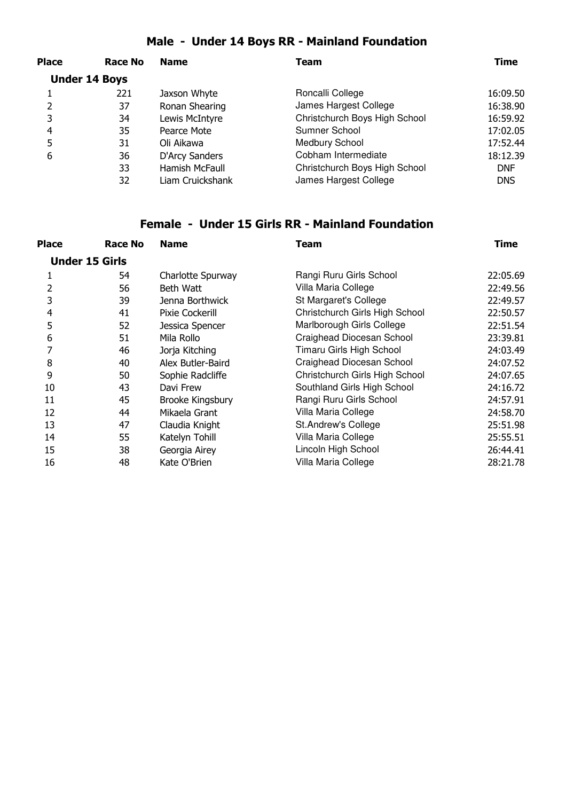# **Male - Under 14 Boys RR - Mainland Foundation**

| <b>Place</b>         | Race No | <b>Name</b>      | Team                          | Time       |
|----------------------|---------|------------------|-------------------------------|------------|
| <b>Under 14 Boys</b> |         |                  |                               |            |
|                      | 221     | Jaxson Whyte     | Roncalli College              | 16:09.50   |
|                      | 37      | Ronan Shearing   | James Hargest College         | 16:38.90   |
| 3                    | 34      | Lewis McIntyre   | Christchurch Boys High School | 16:59.92   |
| 4                    | 35      | Pearce Mote      | Sumner School                 | 17:02.05   |
| 5                    | 31      | Oli Aikawa       | Medbury School                | 17:52.44   |
| 6                    | 36      | D'Arcy Sanders   | Cobham Intermediate           | 18:12.39   |
|                      | 33      | Hamish McFaull   | Christchurch Boys High School | <b>DNF</b> |
|                      | 32      | Liam Cruickshank | James Hargest College         | <b>DNS</b> |

## **Female - Under 15 Girls RR - Mainland Foundation**

| <b>Place</b>          | Race No | <b>Name</b>             | <b>Team</b>                    | <b>Time</b> |
|-----------------------|---------|-------------------------|--------------------------------|-------------|
| <b>Under 15 Girls</b> |         |                         |                                |             |
|                       | 54      | Charlotte Spurway       | Rangi Ruru Girls School        | 22:05.69    |
| 2                     | 56      | Beth Watt               | Villa Maria College            | 22:49.56    |
| 3                     | 39      | Jenna Borthwick         | St Margaret's College          | 22:49.57    |
| 4                     | 41      | Pixie Cockerill         | Christchurch Girls High School | 22:50.57    |
| 5                     | 52      | Jessica Spencer         | Marlborough Girls College      | 22:51.54    |
| 6                     | 51      | Mila Rollo              | Craighead Diocesan School      | 23:39.81    |
|                       | 46      | Jorja Kitching          | Timaru Girls High School       | 24:03.49    |
| 8                     | 40      | Alex Butler-Baird       | Craighead Diocesan School      | 24:07.52    |
| 9                     | 50      | Sophie Radcliffe        | Christchurch Girls High School | 24:07.65    |
| 10                    | 43      | Davi Frew               | Southland Girls High School    | 24:16.72    |
| 11                    | 45      | <b>Brooke Kingsbury</b> | Rangi Ruru Girls School        | 24:57.91    |
| 12                    | 44      | Mikaela Grant           | Villa Maria College            | 24:58.70    |
| 13                    | 47      | Claudia Knight          | St.Andrew's College            | 25:51.98    |
| 14                    | 55      | Katelyn Tohill          | Villa Maria College            | 25:55.51    |
| 15                    | 38      | Georgia Airey           | Lincoln High School            | 26:44.41    |
| 16                    | 48      | Kate O'Brien            | Villa Maria College            | 28:21.78    |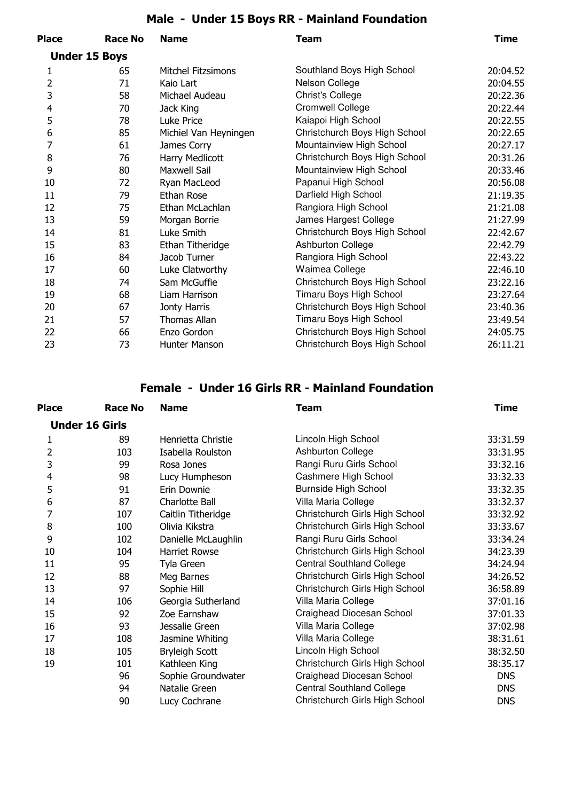| <b>Place</b>   | Race No              | <b>Name</b>               | Team                          | <b>Time</b> |
|----------------|----------------------|---------------------------|-------------------------------|-------------|
|                | <b>Under 15 Boys</b> |                           |                               |             |
|                | 65                   | <b>Mitchel Fitzsimons</b> | Southland Boys High School    | 20:04.52    |
| $\overline{2}$ | 71                   | Kaio Lart                 | Nelson College                | 20:04.55    |
| 3              | 58                   | Michael Audeau            | Christ's College              | 20:22.36    |
| 4              | 70                   | Jack King                 | <b>Cromwell College</b>       | 20:22.44    |
| 5              | 78                   | Luke Price                | Kaiapoi High School           | 20:22.55    |
| 6              | 85                   | Michiel Van Heyningen     | Christchurch Boys High School | 20:22.65    |
| 7              | 61                   | James Corry               | Mountainview High School      | 20:27.17    |
| 8              | 76                   | Harry Medlicott           | Christchurch Boys High School | 20:31.26    |
| 9              | 80                   | <b>Maxwell Sail</b>       | Mountainview High School      | 20:33.46    |
| 10             | 72                   | Ryan MacLeod              | Papanui High School           | 20:56.08    |
| 11             | 79                   | Ethan Rose                | Darfield High School          | 21:19.35    |
| 12             | 75                   | Ethan McLachlan           | Rangiora High School          | 21:21.08    |
| 13             | 59                   | Morgan Borrie             | James Hargest College         | 21:27.99    |
| 14             | 81                   | Luke Smith                | Christchurch Boys High School | 22:42.67    |
| 15             | 83                   | Ethan Titheridge          | Ashburton College             | 22:42.79    |
| 16             | 84                   | Jacob Turner              | Rangiora High School          | 22:43.22    |
| 17             | 60                   | Luke Clatworthy           | Waimea College                | 22:46.10    |
| 18             | 74                   | Sam McGuffie              | Christchurch Boys High School | 23:22.16    |
| 19             | 68                   | Liam Harrison             | Timaru Boys High School       | 23:27.64    |
| 20             | 67                   | Jonty Harris              | Christchurch Boys High School | 23:40.36    |
| 21             | 57                   | <b>Thomas Allan</b>       | Timaru Boys High School       | 23:49.54    |
| 22             | 66                   | Enzo Gordon               | Christchurch Boys High School | 24:05.75    |
| 23             | 73                   | Hunter Manson             | Christchurch Boys High School | 26:11.21    |
|                |                      |                           |                               |             |

# **Male - Under 15 Boys RR - Mainland Foundation**

#### **Female - Under 16 Girls RR - Mainland Foundation**

| <b>Place</b>   | Race No               | <b>Name</b>           | Team                             | <b>Time</b> |
|----------------|-----------------------|-----------------------|----------------------------------|-------------|
|                | <b>Under 16 Girls</b> |                       |                                  |             |
|                | 89                    | Henrietta Christie    | Lincoln High School              | 33:31.59    |
| $\overline{2}$ | 103                   | Isabella Roulston     | <b>Ashburton College</b>         | 33:31.95    |
| 3              | 99                    | Rosa Jones            | Rangi Ruru Girls School          | 33:32.16    |
| 4              | 98                    | Lucy Humpheson        | Cashmere High School             | 33:32.33    |
| 5              | 91                    | Erin Downie           | <b>Burnside High School</b>      | 33:32.35    |
| 6              | 87                    | Charlotte Ball        | Villa Maria College              | 33:32.37    |
| 7              | 107                   | Caitlin Titheridge    | Christchurch Girls High School   | 33:32.92    |
| 8              | 100                   | Olivia Kikstra        | Christchurch Girls High School   | 33:33.67    |
| 9              | 102                   | Danielle McLaughlin   | Rangi Ruru Girls School          | 33:34.24    |
| 10             | 104                   | <b>Harriet Rowse</b>  | Christchurch Girls High School   | 34:23.39    |
| 11             | 95                    | Tyla Green            | <b>Central Southland College</b> | 34:24.94    |
| 12             | 88                    | Meg Barnes            | Christchurch Girls High School   | 34:26.52    |
| 13             | 97                    | Sophie Hill           | Christchurch Girls High School   | 36:58.89    |
| 14             | 106                   | Georgia Sutherland    | Villa Maria College              | 37:01.16    |
| 15             | 92                    | Zoe Earnshaw          | Craighead Diocesan School        | 37:01.33    |
| 16             | 93                    | Jessalie Green        | Villa Maria College              | 37:02.98    |
| 17             | 108                   | Jasmine Whiting       | Villa Maria College              | 38:31.61    |
| 18             | 105                   | <b>Bryleigh Scott</b> | Lincoln High School              | 38:32.50    |
| 19             | 101                   | Kathleen King         | Christchurch Girls High School   | 38:35.17    |
|                | 96                    | Sophie Groundwater    | Craighead Diocesan School        | <b>DNS</b>  |
|                | 94                    | Natalie Green         | <b>Central Southland College</b> | <b>DNS</b>  |
|                | 90                    | Lucy Cochrane         | Christchurch Girls High School   | <b>DNS</b>  |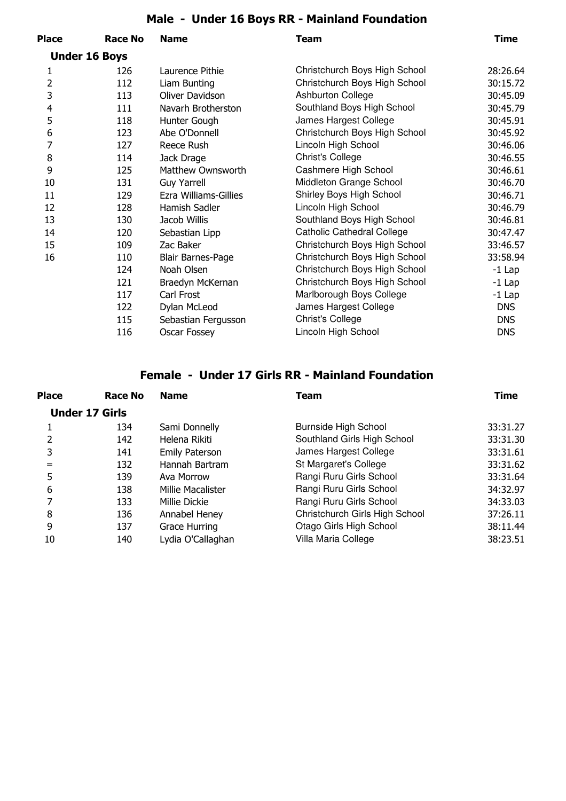# **Male - Under 16 Boys RR - Mainland Foundation**

| <b>Place</b>   | Race No              | <b>Name</b>           | <b>Team</b>                       | <b>Time</b> |
|----------------|----------------------|-----------------------|-----------------------------------|-------------|
|                | <b>Under 16 Boys</b> |                       |                                   |             |
| ı              | 126                  | Laurence Pithie       | Christchurch Boys High School     | 28:26.64    |
| $\overline{2}$ | 112                  | Liam Bunting          | Christchurch Boys High School     | 30:15.72    |
| 3              | 113                  | Oliver Davidson       | Ashburton College                 | 30:45.09    |
| 4              | 111                  | Navarh Brotherston    | Southland Boys High School        | 30:45.79    |
| 5              | 118                  | Hunter Gough          | James Hargest College             | 30:45.91    |
| 6              | 123                  | Abe O'Donnell         | Christchurch Boys High School     | 30:45.92    |
| 7              | 127                  | Reece Rush            | Lincoln High School               | 30:46.06    |
| 8              | 114                  | Jack Drage            | Christ's College                  | 30:46.55    |
| 9              | 125                  | Matthew Ownsworth     | Cashmere High School              | 30:46.61    |
| 10             | 131                  | <b>Guy Yarrell</b>    | Middleton Grange School           | 30:46.70    |
| 11             | 129                  | Ezra Williams-Gillies | Shirley Boys High School          | 30:46.71    |
| 12             | 128                  | Hamish Sadler         | Lincoln High School               | 30:46.79    |
| 13             | 130                  | Jacob Willis          | Southland Boys High School        | 30:46.81    |
| 14             | 120                  | Sebastian Lipp        | <b>Catholic Cathedral College</b> | 30:47.47    |
| 15             | 109                  | Zac Baker             | Christchurch Boys High School     | 33:46.57    |
| 16             | 110                  | Blair Barnes-Page     | Christchurch Boys High School     | 33:58.94    |
|                | 124                  | Noah Olsen            | Christchurch Boys High School     | $-1$ Lap    |
|                | 121                  | Braedyn McKernan      | Christchurch Boys High School     | $-1$ Lap    |
|                | 117                  | Carl Frost            | Marlborough Boys College          | $-1$ Lap    |
|                | 122                  | Dylan McLeod          | James Hargest College             | <b>DNS</b>  |
|                | 115                  | Sebastian Fergusson   | Christ's College                  | <b>DNS</b>  |
|                | 116                  | Oscar Fossey          | Lincoln High School               | <b>DNS</b>  |

### **Female - Under 17 Girls RR - Mainland Foundation**

| <b>Place</b>          | <b>Race No</b> | <b>Name</b>           | Team                           | <b>Time</b> |
|-----------------------|----------------|-----------------------|--------------------------------|-------------|
| <b>Under 17 Girls</b> |                |                       |                                |             |
|                       | 134            | Sami Donnelly         | <b>Burnside High School</b>    | 33:31.27    |
|                       | 142            | Helena Rikiti         | Southland Girls High School    | 33:31.30    |
| 3                     | 141            | <b>Emily Paterson</b> | James Hargest College          | 33:31.61    |
|                       | 132            | Hannah Bartram        | St Margaret's College          | 33:31.62    |
| 5                     | 139            | Ava Morrow            | Rangi Ruru Girls School        | 33:31.64    |
| 6                     | 138            | Millie Macalister     | Rangi Ruru Girls School        | 34:32.97    |
|                       | 133            | Millie Dickie         | Rangi Ruru Girls School        | 34:33.03    |
| 8                     | 136            | Annabel Heney         | Christchurch Girls High School | 37:26.11    |
| 9                     | 137            | Grace Hurring         | Otago Girls High School        | 38:11.44    |
| 10                    | 140            | Lydia O'Callaghan     | Villa Maria College            | 38:23.51    |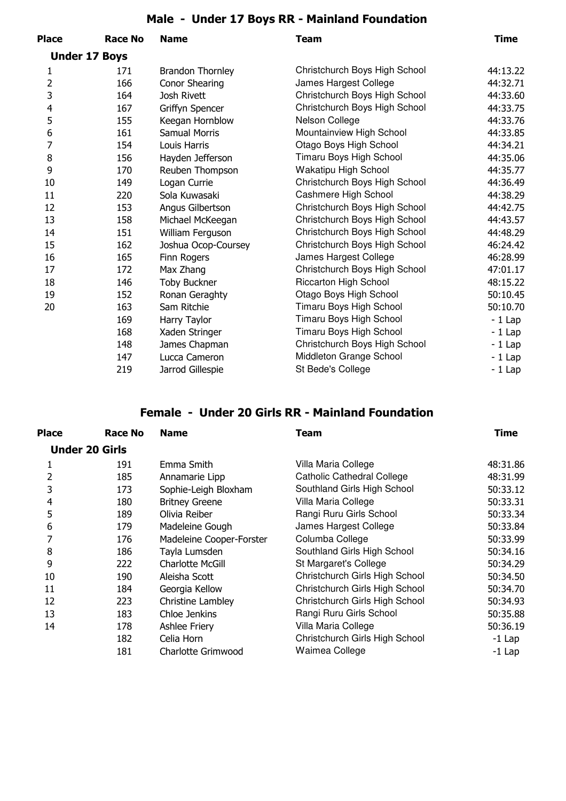# **Male - Under 17 Boys RR - Mainland Foundation**

| <b>Place</b>         | Race No | <b>Name</b>             | <b>Team</b>                   | <b>Time</b> |
|----------------------|---------|-------------------------|-------------------------------|-------------|
| <b>Under 17 Boys</b> |         |                         |                               |             |
| 1                    | 171     | <b>Brandon Thornley</b> | Christchurch Boys High School | 44:13.22    |
| $\overline{2}$       | 166     | Conor Shearing          | James Hargest College         | 44:32.71    |
| 3                    | 164     | Josh Rivett             | Christchurch Boys High School | 44:33.60    |
| 4                    | 167     | Griffyn Spencer         | Christchurch Boys High School | 44:33.75    |
| 5                    | 155     | Keegan Hornblow         | Nelson College                | 44:33.76    |
| 6                    | 161     | <b>Samual Morris</b>    | Mountainview High School      | 44:33.85    |
| 7                    | 154     | Louis Harris            | Otago Boys High School        | 44:34.21    |
| 8                    | 156     | Hayden Jefferson        | Timaru Boys High School       | 44:35.06    |
| 9                    | 170     | Reuben Thompson         | Wakatipu High School          | 44:35.77    |
| 10                   | 149     | Logan Currie            | Christchurch Boys High School | 44:36.49    |
| 11                   | 220     | Sola Kuwasaki           | Cashmere High School          | 44:38.29    |
| 12                   | 153     | Angus Gilbertson        | Christchurch Boys High School | 44:42.75    |
| 13                   | 158     | Michael McKeegan        | Christchurch Boys High School | 44:43.57    |
| 14                   | 151     | William Ferguson        | Christchurch Boys High School | 44:48.29    |
| 15                   | 162     | Joshua Ocop-Coursey     | Christchurch Boys High School | 46:24.42    |
| 16                   | 165     | Finn Rogers             | James Hargest College         | 46:28.99    |
| 17                   | 172     | Max Zhang               | Christchurch Boys High School | 47:01.17    |
| 18                   | 146     | <b>Toby Buckner</b>     | Riccarton High School         | 48:15.22    |
| 19                   | 152     | Ronan Geraghty          | Otago Boys High School        | 50:10.45    |
| 20                   | 163     | Sam Ritchie             | Timaru Boys High School       | 50:10.70    |
|                      | 169     | Harry Taylor            | Timaru Boys High School       | $-1$ Lap    |
|                      | 168     | Xaden Stringer          | Timaru Boys High School       | $-1$ Lap    |
|                      | 148     | James Chapman           | Christchurch Boys High School | $-1$ Lap    |
|                      | 147     | Lucca Cameron           | Middleton Grange School       | $-1$ Lap    |
|                      | 219     | Jarrod Gillespie        | St Bede's College             | $-1$ Lap    |

#### **Female - Under 20 Girls RR - Mainland Foundation**

| <b>Place</b> | Race No               | <b>Name</b>              | Team                              | Time     |
|--------------|-----------------------|--------------------------|-----------------------------------|----------|
|              | <b>Under 20 Girls</b> |                          |                                   |          |
|              | 191                   | Emma Smith               | Villa Maria College               | 48:31.86 |
| 2            | 185                   | Annamarie Lipp           | <b>Catholic Cathedral College</b> | 48:31.99 |
| 3            | 173                   | Sophie-Leigh Bloxham     | Southland Girls High School       | 50:33.12 |
| 4            | 180                   | <b>Britney Greene</b>    | Villa Maria College               | 50:33.31 |
| 5            | 189                   | Olivia Reiber            | Rangi Ruru Girls School           | 50:33.34 |
| 6            | 179                   | Madeleine Gough          | James Hargest College             | 50:33.84 |
|              | 176                   | Madeleine Cooper-Forster | Columba College                   | 50:33.99 |
| 8            | 186                   | Tayla Lumsden            | Southland Girls High School       | 50:34.16 |
| 9            | 222                   | Charlotte McGill         | St Margaret's College             | 50:34.29 |
| 10           | 190                   | Aleisha Scott            | Christchurch Girls High School    | 50:34.50 |
| 11           | 184                   | Georgia Kellow           | Christchurch Girls High School    | 50:34.70 |
| 12           | 223                   | Christine Lambley        | Christchurch Girls High School    | 50:34.93 |
| 13           | 183                   | Chloe Jenkins            | Rangi Ruru Girls School           | 50:35.88 |
| 14           | 178                   | Ashlee Friery            | Villa Maria College               | 50:36.19 |
|              | 182                   | Celia Horn               | Christchurch Girls High School    | $-1$ Lap |
|              | 181                   | Charlotte Grimwood       | Waimea College                    | -1 Lap   |